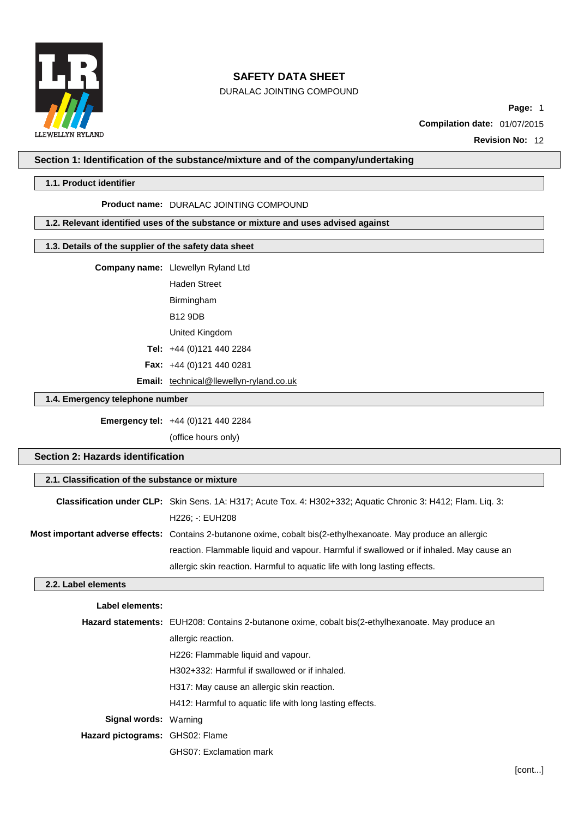

DURALAC JOINTING COMPOUND

**Page:** 1

**Compilation date:** 01/07/2015

**Revision No:** 12

## **Section 1: Identification of the substance/mixture and of the company/undertaking**

### **1.1. Product identifier**

### **Product name:** DURALAC JOINTING COMPOUND

## **1.2. Relevant identified uses of the substance or mixture and uses advised against**

## **1.3. Details of the supplier of the safety data sheet**

|                                 | Company name: Llewellyn Ryland Ltd             |
|---------------------------------|------------------------------------------------|
|                                 | <b>Haden Street</b>                            |
|                                 | Birmingham                                     |
|                                 | <b>B12 9DB</b>                                 |
|                                 | United Kingdom                                 |
|                                 | Tel: $+44(0)1214402284$                        |
|                                 | <b>Fax:</b> $+44$ (0)121 440 0281              |
|                                 | <b>Email:</b> technical@llewellyn-ryland.co.uk |
| 1.4. Emergency telephone number |                                                |

**Emergency tel:** +44 (0)121 440 2284

(office hours only)

## **Section 2: Hazards identification**

## **2.1. Classification of the substance or mixture**

| Classification under CLP: Skin Sens. 1A: H317; Acute Tox. 4: H302+332; Aquatic Chronic 3: H412; Flam. Liq. 3:   |
|-----------------------------------------------------------------------------------------------------------------|
| H226; -: EUH208                                                                                                 |
| Most important adverse effects: Contains 2-butanone oxime, cobalt bis(2-ethylhexanoate. May produce an allergic |
| reaction. Flammable liquid and vapour. Harmful if swallowed or if inhaled. May cause an                         |
| allergic skin reaction. Harmful to aquatic life with long lasting effects.                                      |

### **2.2. Label elements**

## **Label elements:**

|                                 | <b>Hazard statements:</b> EUH208: Contains 2-butanone oxime, cobalt bis(2-ethylhexanoate. May produce an |
|---------------------------------|----------------------------------------------------------------------------------------------------------|
|                                 | allergic reaction.                                                                                       |
|                                 | H226: Flammable liquid and vapour.                                                                       |
|                                 | H302+332: Harmful if swallowed or if inhaled.                                                            |
|                                 | H317: May cause an allergic skin reaction.                                                               |
|                                 | H412: Harmful to aquatic life with long lasting effects.                                                 |
| <b>Signal words: Warning</b>    |                                                                                                          |
| Hazard pictograms: GHS02: Flame |                                                                                                          |
|                                 | <b>GHS07: Exclamation mark</b>                                                                           |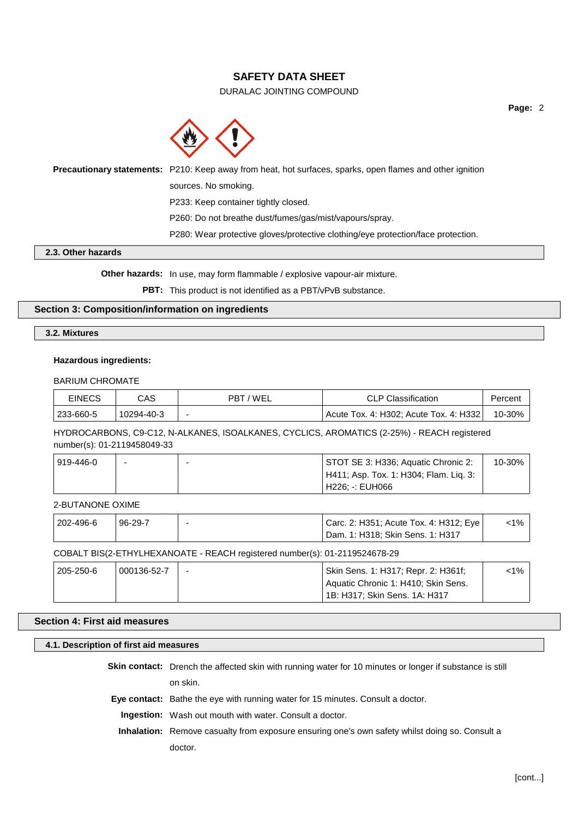## DURALAC JOINTING COMPOUND

**Page:** 2



**Precautionary statements:** P210: Keep away from heat, hot surfaces, sparks, open flames and other ignition sources. No smoking. P233: Keep container tightly closed. P260: Do not breathe dust/fumes/gas/mist/vapours/spray. P280: Wear protective gloves/protective clothing/eye protection/face protection.

## **2.3. Other hazards**

**Other hazards:** In use, may form flammable / explosive vapour-air mixture.

**PBT:** This product is not identified as a PBT/vPvB substance.

## **Section 3: Composition/information on ingredients**

## **3.2. Mixtures**

## **Hazardous ingredients:**

BARIUM CHROMATE

| <b>EINECS</b> | CAS        | T/WEL<br>PBT | <b>CLP Classification</b>                           | Percent |
|---------------|------------|--------------|-----------------------------------------------------|---------|
| 233-660-5     | 10294-40-3 |              | <sup>1</sup> Acute Tox. 4: H302; Acute Tox. 4: H332 | 10-30%  |

HYDROCARBONS, C9-C12, N-ALKANES, ISOALKANES, CYCLICS, AROMATICS (2-25%) - REACH registered number(s): 01-2119458049-33

| 919-446-0 |  | STOT SE 3: H336; Aquatic Chronic 2:    | 10-30% |
|-----------|--|----------------------------------------|--------|
|           |  | H411; Asp. Tox. 1: H304; Flam. Liq. 3: |        |
|           |  | H226: -: EUH066                        |        |

2-BUTANONE OXIME

| 202-496-6 | 96-29-7 | Carc. 2: H351; Acute Tox. 4: H312; Eye  <br>  Dam. 1: H318; Skin Sens. 1: H317 | <1% ∣ |
|-----------|---------|--------------------------------------------------------------------------------|-------|
|           |         |                                                                                |       |

#### COBALT BIS(2-ETHYLHEXANOATE - REACH registered number(s): 01-2119524678-29

| 205-250-6 | 000136-52-7 | Skin Sens. 1: H317; Repr. 2: H361f; | <1% |
|-----------|-------------|-------------------------------------|-----|
|           |             | Aquatic Chronic 1: H410; Skin Sens. |     |
|           |             | 1B: H317; Skin Sens. 1A: H317       |     |

### **Section 4: First aid measures**

**4.1. Description of first aid measures Skin contact:** Drench the affected skin with running water for 10 minutes or longer if substance is still

on skin.

**Eye contact:** Bathe the eye with running water for 15 minutes. Consult a doctor.

**Ingestion:** Wash out mouth with water. Consult a doctor.

**Inhalation:** Remove casualty from exposure ensuring one's own safety whilst doing so. Consult a doctor.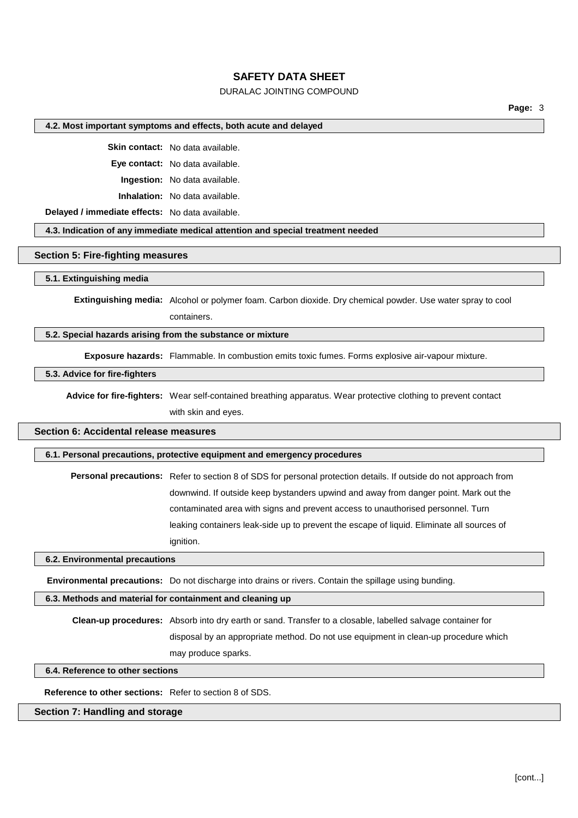## DURALAC JOINTING COMPOUND

**Page:** 3

#### **4.2. Most important symptoms and effects, both acute and delayed**

**Skin contact:** No data available.

**Eye contact:** No data available.

**Ingestion:** No data available.

**Inhalation:** No data available.

**Delayed / immediate effects:** No data available.

**4.3. Indication of any immediate medical attention and special treatment needed**

#### **Section 5: Fire-fighting measures**

### **5.1. Extinguishing media**

**Extinguishing media:** Alcohol or polymer foam. Carbon dioxide. Dry chemical powder. Use water spray to cool containers.

## **5.2. Special hazards arising from the substance or mixture**

**Exposure hazards:** Flammable. In combustion emits toxic fumes. Forms explosive air-vapour mixture.

### **5.3. Advice for fire-fighters**

**Advice for fire-fighters:** Wear self-contained breathing apparatus. Wear protective clothing to prevent contact with skin and eyes.

## **Section 6: Accidental release measures**

#### **6.1. Personal precautions, protective equipment and emergency procedures**

**Personal precautions:** Refer to section 8 of SDS for personal protection details. If outside do not approach from downwind. If outside keep bystanders upwind and away from danger point. Mark out the contaminated area with signs and prevent access to unauthorised personnel. Turn leaking containers leak-side up to prevent the escape of liquid. Eliminate all sources of ignition.

### **6.2. Environmental precautions**

**Environmental precautions:** Do not discharge into drains or rivers. Contain the spillage using bunding.

#### **6.3. Methods and material for containment and cleaning up**

**Clean-up procedures:** Absorb into dry earth or sand. Transfer to a closable, labelled salvage container for disposal by an appropriate method. Do not use equipment in clean-up procedure which

may produce sparks.

**6.4. Reference to other sections**

**Reference to other sections:** Refer to section 8 of SDS.

## **Section 7: Handling and storage**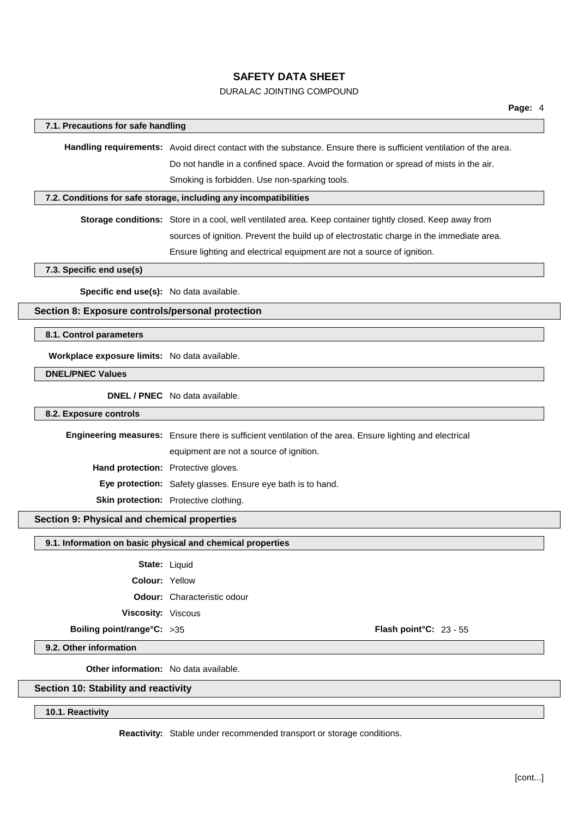## DURALAC JOINTING COMPOUND

| 7.1. Precautions for safe handling               |                                                                                                                     |  |  |
|--------------------------------------------------|---------------------------------------------------------------------------------------------------------------------|--|--|
|                                                  |                                                                                                                     |  |  |
|                                                  | Handling requirements: Avoid direct contact with the substance. Ensure there is sufficient ventilation of the area. |  |  |
|                                                  | Do not handle in a confined space. Avoid the formation or spread of mists in the air.                               |  |  |
|                                                  | Smoking is forbidden. Use non-sparking tools.                                                                       |  |  |
|                                                  | 7.2. Conditions for safe storage, including any incompatibilities                                                   |  |  |
|                                                  | Storage conditions: Store in a cool, well ventilated area. Keep container tightly closed. Keep away from            |  |  |
|                                                  | sources of ignition. Prevent the build up of electrostatic charge in the immediate area.                            |  |  |
|                                                  | Ensure lighting and electrical equipment are not a source of ignition.                                              |  |  |
| 7.3. Specific end use(s)                         |                                                                                                                     |  |  |
| Specific end use(s): No data available.          |                                                                                                                     |  |  |
| Section 8: Exposure controls/personal protection |                                                                                                                     |  |  |
| 8.1. Control parameters                          |                                                                                                                     |  |  |
| Workplace exposure limits: No data available.    |                                                                                                                     |  |  |
| <b>DNEL/PNEC Values</b>                          |                                                                                                                     |  |  |
|                                                  | <b>DNEL / PNEC</b> No data available.                                                                               |  |  |
| 8.2. Exposure controls                           |                                                                                                                     |  |  |
|                                                  | Engineering measures: Ensure there is sufficient ventilation of the area. Ensure lighting and electrical            |  |  |
|                                                  | equipment are not a source of ignition.                                                                             |  |  |
| Hand protection: Protective gloves.              |                                                                                                                     |  |  |
|                                                  | Eye protection: Safety glasses. Ensure eye bath is to hand.                                                         |  |  |
|                                                  | Skin protection: Protective clothing.                                                                               |  |  |
| Section 9: Physical and chemical properties      |                                                                                                                     |  |  |
|                                                  | 9.1. Information on basic physical and chemical properties                                                          |  |  |
| State: Liquid                                    |                                                                                                                     |  |  |
| Colour: Yellow                                   |                                                                                                                     |  |  |
|                                                  | <b>Odour:</b> Characteristic odour                                                                                  |  |  |
| Viscosity: Viscous                               |                                                                                                                     |  |  |
| Boiling point/range°C: >35                       | Flash point°C: 23 - 55                                                                                              |  |  |
| 9.2. Other information                           |                                                                                                                     |  |  |
|                                                  | Other information: No data available.                                                                               |  |  |
|                                                  |                                                                                                                     |  |  |

**10.1. Reactivity**

 $\sqrt{2}$ 

**Reactivity:** Stable under recommended transport or storage conditions.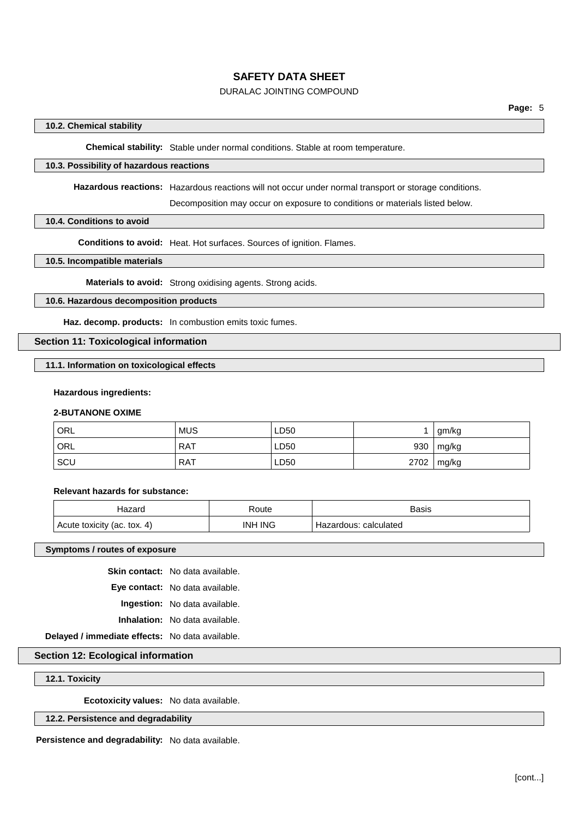## DURALAC JOINTING COMPOUND

## **10.2. Chemical stability**

**Chemical stability:** Stable under normal conditions. Stable at room temperature.

### **10.3. Possibility of hazardous reactions**

**Hazardous reactions:** Hazardous reactions will not occur under normal transport or storage conditions.

Decomposition may occur on exposure to conditions or materials listed below.

### **10.4. Conditions to avoid**

**Conditions to avoid:** Heat. Hot surfaces. Sources of ignition. Flames.

## **10.5. Incompatible materials**

**Materials to avoid:** Strong oxidising agents. Strong acids.

## **10.6. Hazardous decomposition products**

**Haz. decomp. products:** In combustion emits toxic fumes.

## **Section 11: Toxicological information**

### **11.1. Information on toxicological effects**

#### **Hazardous ingredients:**

### **2-BUTANONE OXIME**

| ' ORL | <b>MUS</b> | LD50 |      | ˈ gm/kg         |
|-------|------------|------|------|-----------------|
| ' ORL | RAT        | LD50 |      | 930   mg/kg     |
| SCU   | <b>RAT</b> | LD50 | 2702 | $\lfloor$ mg/kg |

#### **Relevant hazards for substance:**

| lazard                      | Route          | Basis                 |
|-----------------------------|----------------|-----------------------|
| Acute toxicity (ac. tox. 4) | <b>INH ING</b> | Hazardous: calculated |

#### **Symptoms / routes of exposure**

**Skin contact:** No data available.

**Eye contact:** No data available. **Ingestion:** No data available.

**Inhalation:** No data available.

**Delayed / immediate effects:** No data available.

## **Section 12: Ecological information**

### **12.1. Toxicity**

**Ecotoxicity values:** No data available.

## **12.2. Persistence and degradability**

**Persistence and degradability:** No data available.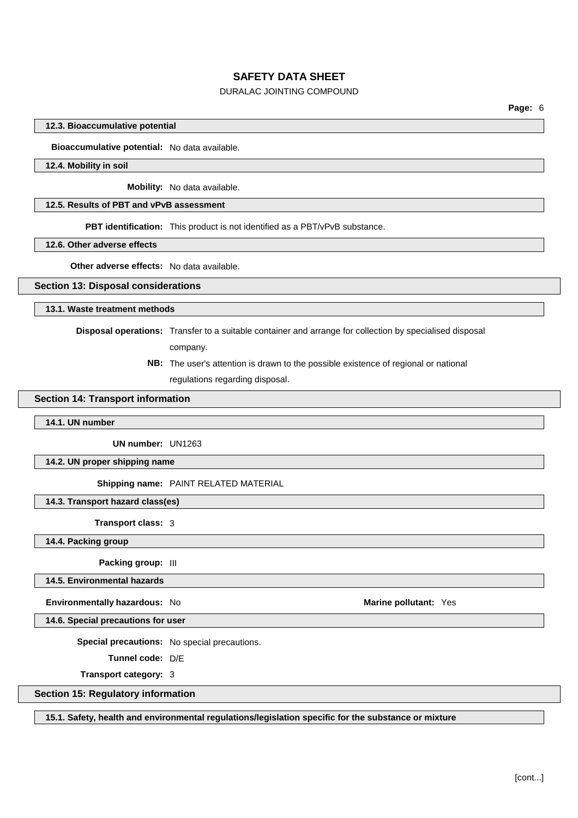## DURALAC JOINTING COMPOUND

**Page:** 6

### **12.3. Bioaccumulative potential**

**Bioaccumulative potential:** No data available.

#### **12.4. Mobility in soil**

**Mobility:** No data available.

## **12.5. Results of PBT and vPvB assessment**

**PBT identification:** This product is not identified as a PBT/vPvB substance.

**12.6. Other adverse effects**

**Other adverse effects:** No data available.

#### **Section 13: Disposal considerations**

### **13.1. Waste treatment methods**

**Disposal operations:** Transfer to a suitable container and arrange for collection by specialised disposal

company.

**NB:** The user's attention is drawn to the possible existence of regional or national regulations regarding disposal.

## **Section 14: Transport information**

#### **14.1. UN number**

**UN number:** UN1263

**14.2. UN proper shipping name**

**Shipping name:** PAINT RELATED MATERIAL

**14.3. Transport hazard class(es)**

**Transport class:** 3

**14.4. Packing group**

**Packing group:** III

**14.5. Environmental hazards**

**Environmentally hazardous:** No **Marine Marine Marine Marine Marine Marine Marine Marine Marine Marine Marine Marine Marine Marine Marine Marine Marine Marine Marine Marine Marine**

**14.6. Special precautions for user**

**Special precautions:** No special precautions.

**Tunnel code:** D/E

**Transport category:** 3

### **Section 15: Regulatory information**

**15.1. Safety, health and environmental regulations/legislation specific for the substance or mixture**